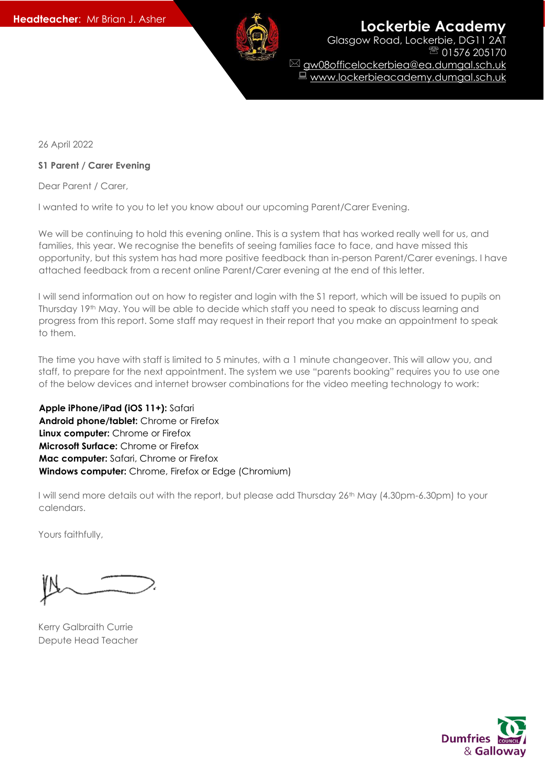

**Headteacher:** Mr Brian J. Asher **Lockerbie Academy** 

Glasgow Road, Lockerbie, DG11 2AT 01576 205170 gw08officelockerbiea@ea.dumgal.sch.uk ■ www.lockerbieacademy.dumgal.sch.uk

26 April 2022

## **S1 Parent / Carer Evening**

Dear Parent / Carer,

I wanted to write to you to let you know about our upcoming Parent/Carer Evening.

We will be continuing to hold this evening online. This is a system that has worked really well for us, and families, this year. We recognise the benefits of seeing families face to face, and have missed this opportunity, but this system has had more positive feedback than in-person Parent/Carer evenings. I have attached feedback from a recent online Parent/Carer evening at the end of this letter.

I will send information out on how to register and login with the S1 report, which will be issued to pupils on Thursday 19th May. You will be able to decide which staff you need to speak to discuss learning and progress from this report. Some staff may request in their report that you make an appointment to speak to them.

The time you have with staff is limited to 5 minutes, with a 1 minute changeover. This will allow you, and staff, to prepare for the next appointment. The system we use "parents booking" requires you to use one of the below devices and internet browser combinations for the video meeting technology to work:

**Apple iPhone/iPad (iOS 11+):** Safari **Android phone/tablet:** Chrome or Firefox **Linux computer:** Chrome or Firefox **Microsoft Surface:** Chrome or Firefox **Mac computer:** Safari, Chrome or Firefox **Windows computer:** Chrome, Firefox or Edge (Chromium)

I will send more details out with the report, but please add Thursday 26<sup>th</sup> May (4.30pm-6.30pm) to your calendars.

Yours faithfully,

Kerry Galbraith Currie Depute Head Teacher

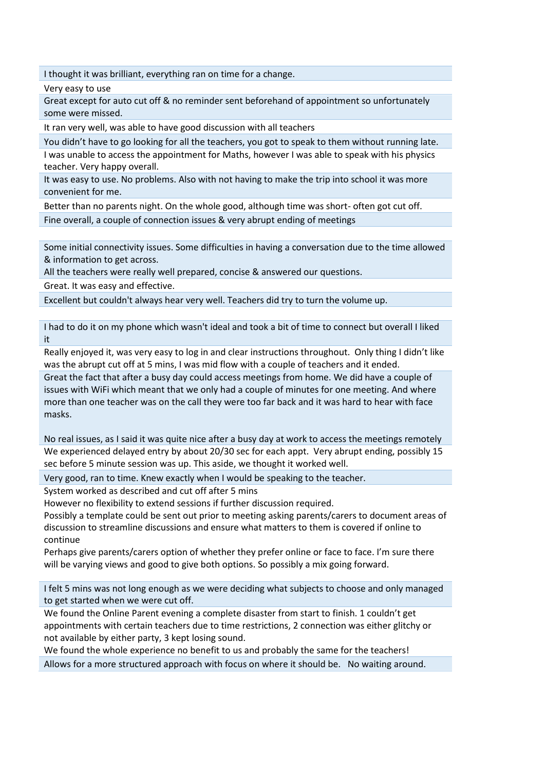I thought it was brilliant, everything ran on time for a change.

Very easy to use

Great except for auto cut off & no reminder sent beforehand of appointment so unfortunately some were missed.

It ran very well, was able to have good discussion with all teachers

You didn't have to go looking for all the teachers, you got to speak to them without running late.

I was unable to access the appointment for Maths, however I was able to speak with his physics teacher. Very happy overall.

It was easy to use. No problems. Also with not having to make the trip into school it was more convenient for me.

Better than no parents night. On the whole good, although time was short- often got cut off. Fine overall, a couple of connection issues & very abrupt ending of meetings

Some initial connectivity issues. Some difficulties in having a conversation due to the time allowed & information to get across.

All the teachers were really well prepared, concise & answered our questions.

Great. It was easy and effective.

Excellent but couldn't always hear very well. Teachers did try to turn the volume up.

I had to do it on my phone which wasn't ideal and took a bit of time to connect but overall I liked it

Really enjoyed it, was very easy to log in and clear instructions throughout. Only thing I didn't like was the abrupt cut off at 5 mins, I was mid flow with a couple of teachers and it ended. Great the fact that after a busy day could access meetings from home. We did have a couple of

issues with WiFi which meant that we only had a couple of minutes for one meeting. And where more than one teacher was on the call they were too far back and it was hard to hear with face masks.

No real issues, as I said it was quite nice after a busy day at work to access the meetings remotely We experienced delayed entry by about 20/30 sec for each appt. Very abrupt ending, possibly 15 sec before 5 minute session was up. This aside, we thought it worked well.

Very good, ran to time. Knew exactly when I would be speaking to the teacher.

System worked as described and cut off after 5 mins

However no flexibility to extend sessions if further discussion required.

Possibly a template could be sent out prior to meeting asking parents/carers to document areas of discussion to streamline discussions and ensure what matters to them is covered if online to continue

Perhaps give parents/carers option of whether they prefer online or face to face. I'm sure there will be varying views and good to give both options. So possibly a mix going forward.

I felt 5 mins was not long enough as we were deciding what subjects to choose and only managed to get started when we were cut off.

We found the Online Parent evening a complete disaster from start to finish. 1 couldn't get appointments with certain teachers due to time restrictions, 2 connection was either glitchy or not available by either party, 3 kept losing sound.

We found the whole experience no benefit to us and probably the same for the teachers!

Allows for a more structured approach with focus on where it should be. No waiting around.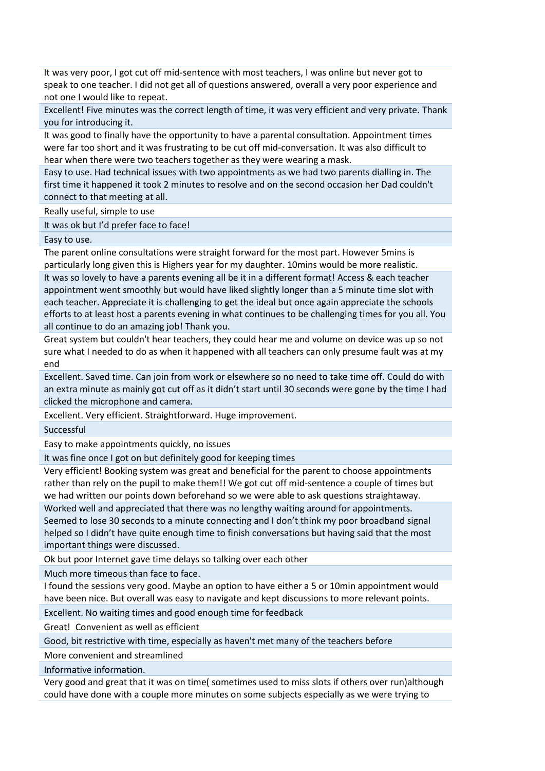It was very poor, I got cut off mid-sentence with most teachers, I was online but never got to speak to one teacher. I did not get all of questions answered, overall a very poor experience and not one I would like to repeat.

Excellent! Five minutes was the correct length of time, it was very efficient and very private. Thank you for introducing it.

It was good to finally have the opportunity to have a parental consultation. Appointment times were far too short and it was frustrating to be cut off mid-conversation. It was also difficult to hear when there were two teachers together as they were wearing a mask.

Easy to use. Had technical issues with two appointments as we had two parents dialling in. The first time it happened it took 2 minutes to resolve and on the second occasion her Dad couldn't connect to that meeting at all.

Really useful, simple to use

It was ok but I'd prefer face to face!

Easy to use.

The parent online consultations were straight forward for the most part. However 5mins is particularly long given this is Highers year for my daughter. 10mins would be more realistic.

It was so lovely to have a parents evening all be it in a different format! Access & each teacher appointment went smoothly but would have liked slightly longer than a 5 minute time slot with each teacher. Appreciate it is challenging to get the ideal but once again appreciate the schools efforts to at least host a parents evening in what continues to be challenging times for you all. You all continue to do an amazing job! Thank you.

Great system but couldn't hear teachers, they could hear me and volume on device was up so not sure what I needed to do as when it happened with all teachers can only presume fault was at my end

Excellent. Saved time. Can join from work or elsewhere so no need to take time off. Could do with an extra minute as mainly got cut off as it didn't start until 30 seconds were gone by the time I had clicked the microphone and camera.

Excellent. Very efficient. Straightforward. Huge improvement.

Successful

Easy to make appointments quickly, no issues

It was fine once I got on but definitely good for keeping times

Very efficient! Booking system was great and beneficial for the parent to choose appointments rather than rely on the pupil to make them!! We got cut off mid-sentence a couple of times but we had written our points down beforehand so we were able to ask questions straightaway.

Worked well and appreciated that there was no lengthy waiting around for appointments. Seemed to lose 30 seconds to a minute connecting and I don't think my poor broadband signal helped so I didn't have quite enough time to finish conversations but having said that the most important things were discussed.

Ok but poor Internet gave time delays so talking over each other

Much more timeous than face to face.

I found the sessions very good. Maybe an option to have either a 5 or 10min appointment would have been nice. But overall was easy to navigate and kept discussions to more relevant points.

Excellent. No waiting times and good enough time for feedback

Great! Convenient as well as efficient

Good, bit restrictive with time, especially as haven't met many of the teachers before

More convenient and streamlined

Informative information.

Very good and great that it was on time( sometimes used to miss slots if others over run)although could have done with a couple more minutes on some subjects especially as we were trying to